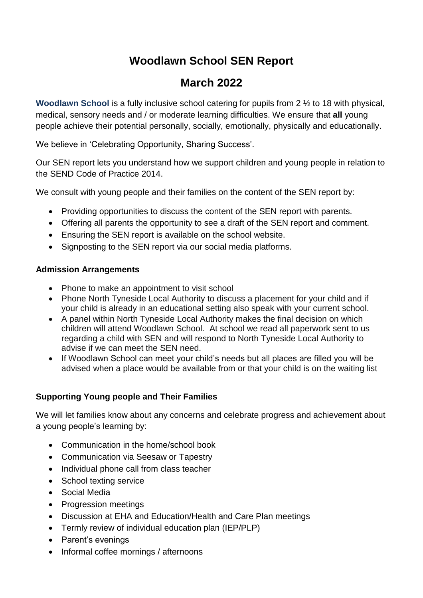# **Woodlawn School SEN Report**

# **March 2022**

**Woodlawn School** is a fully inclusive school catering for pupils from 2 ½ to 18 with physical, medical, sensory needs and / or moderate learning difficulties. We ensure that **all** young people achieve their potential personally, socially, emotionally, physically and educationally.

We believe in 'Celebrating Opportunity, Sharing Success'.

Our SEN report lets you understand how we support children and young people in relation to the SEND Code of Practice 2014.

We consult with young people and their families on the content of the SEN report by:

- Providing opportunities to discuss the content of the SEN report with parents.
- Offering all parents the opportunity to see a draft of the SEN report and comment.
- Ensuring the SEN report is available on the school website.
- Signposting to the SEN report via our social media platforms.

#### **Admission Arrangements**

- Phone to make an appointment to visit school
- Phone North Tyneside Local Authority to discuss a placement for your child and if your child is already in an educational setting also speak with your current school.
- A panel within North Tyneside Local Authority makes the final decision on which children will attend Woodlawn School. At school we read all paperwork sent to us regarding a child with SEN and will respond to North Tyneside Local Authority to advise if we can meet the SEN need.
- If Woodlawn School can meet your child's needs but all places are filled you will be advised when a place would be available from or that your child is on the waiting list

#### **Supporting Young people and Their Families**

We will let families know about any concerns and celebrate progress and achievement about a young people's learning by:

- Communication in the home/school book
- Communication via Seesaw or Tapestry
- Individual phone call from class teacher
- School texting service
- Social Media
- Progression meetings
- Discussion at EHA and Education/Health and Care Plan meetings
- Termly review of individual education plan (IEP/PLP)
- Parent's evenings
- Informal coffee mornings / afternoons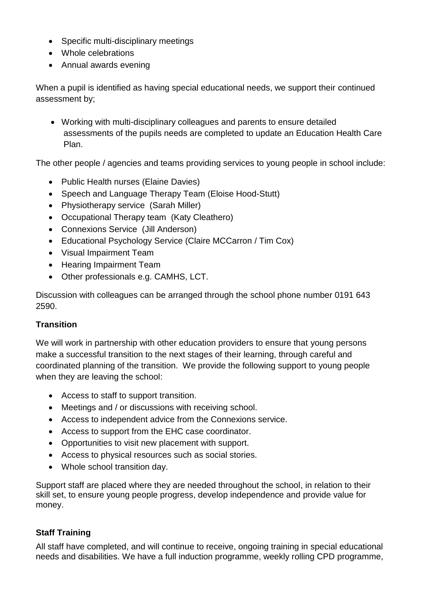- Specific multi-disciplinary meetings
- Whole celebrations
- Annual awards evening

When a pupil is identified as having special educational needs, we support their continued assessment by;

 Working with multi-disciplinary colleagues and parents to ensure detailed assessments of the pupils needs are completed to update an Education Health Care Plan.

The other people / agencies and teams providing services to young people in school include:

- Public Health nurses (Elaine Davies)
- Speech and Language Therapy Team (Eloise Hood-Stutt)
- Physiotherapy service (Sarah Miller)
- Occupational Therapy team (Katy Cleathero)
- Connexions Service (Jill Anderson)
- Educational Psychology Service (Claire MCCarron / Tim Cox)
- Visual Impairment Team
- Hearing Impairment Team
- Other professionals e.g. CAMHS, LCT.

Discussion with colleagues can be arranged through the school phone number 0191 643 2590.

#### **Transition**

We will work in partnership with other education providers to ensure that young persons make a successful transition to the next stages of their learning, through careful and coordinated planning of the transition. We provide the following support to young people when they are leaving the school:

- Access to staff to support transition.
- Meetings and / or discussions with receiving school.
- Access to independent advice from the Connexions service.
- Access to support from the EHC case coordinator.
- Opportunities to visit new placement with support.
- Access to physical resources such as social stories.
- Whole school transition day.

Support staff are placed where they are needed throughout the school, in relation to their skill set, to ensure young people progress, develop independence and provide value for money.

### **Staff Training**

All staff have completed, and will continue to receive, ongoing training in special educational needs and disabilities. We have a full induction programme, weekly rolling CPD programme,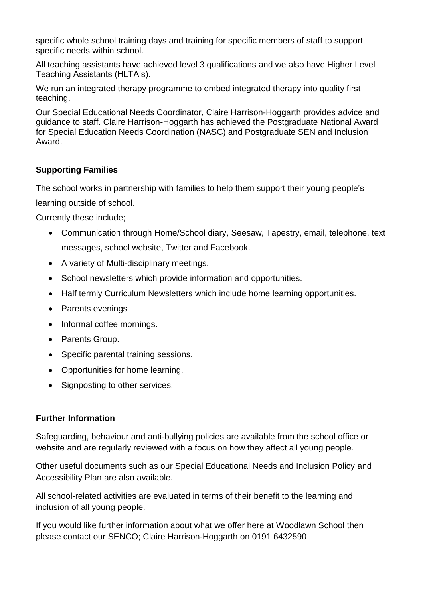specific whole school training days and training for specific members of staff to support specific needs within school.

All teaching assistants have achieved level 3 qualifications and we also have Higher Level Teaching Assistants (HLTA's).

We run an integrated therapy programme to embed integrated therapy into quality first teaching.

Our Special Educational Needs Coordinator, Claire Harrison-Hoggarth provides advice and guidance to staff. Claire Harrison-Hoggarth has achieved the Postgraduate National Award for Special Education Needs Coordination (NASC) and Postgraduate SEN and Inclusion Award.

### **Supporting Families**

The school works in partnership with families to help them support their young people's

learning outside of school.

Currently these include;

- Communication through Home/School diary, Seesaw, Tapestry, email, telephone, text messages, school website, Twitter and Facebook.
- A variety of Multi-disciplinary meetings.
- School newsletters which provide information and opportunities.
- Half termly Curriculum Newsletters which include home learning opportunities.
- Parents evenings
- Informal coffee mornings.
- Parents Group.
- Specific parental training sessions.
- Opportunities for home learning.
- Signposting to other services.

#### **Further Information**

Safeguarding, behaviour and anti-bullying policies are available from the school office or website and are regularly reviewed with a focus on how they affect all young people.

Other useful documents such as our Special Educational Needs and Inclusion Policy and Accessibility Plan are also available.

All school-related activities are evaluated in terms of their benefit to the learning and inclusion of all young people.

If you would like further information about what we offer here at Woodlawn School then please contact our SENCO; Claire Harrison-Hoggarth on 0191 6432590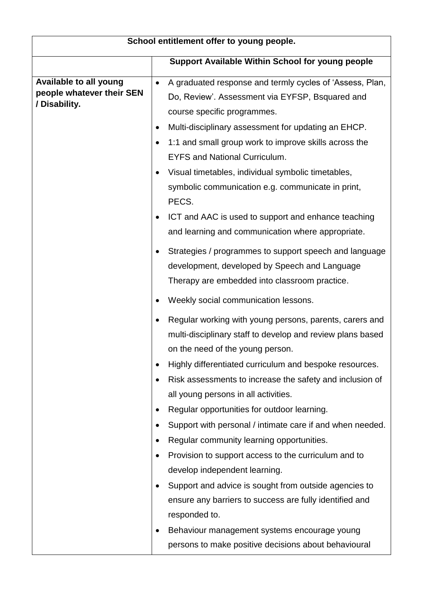| School entitlement offer to young people.                            |                                                                                                                                                                                                                                                                                                                                                                                                                                                                                                                                                                                                                                                                                                                                                                                                                         |  |
|----------------------------------------------------------------------|-------------------------------------------------------------------------------------------------------------------------------------------------------------------------------------------------------------------------------------------------------------------------------------------------------------------------------------------------------------------------------------------------------------------------------------------------------------------------------------------------------------------------------------------------------------------------------------------------------------------------------------------------------------------------------------------------------------------------------------------------------------------------------------------------------------------------|--|
|                                                                      | Support Available Within School for young people                                                                                                                                                                                                                                                                                                                                                                                                                                                                                                                                                                                                                                                                                                                                                                        |  |
| Available to all young<br>people whatever their SEN<br>/ Disability. | A graduated response and termly cycles of 'Assess, Plan,<br>$\bullet$<br>Do, Review'. Assessment via EYFSP, Bsquared and<br>course specific programmes.<br>Multi-disciplinary assessment for updating an EHCP.<br>٠<br>1:1 and small group work to improve skills across the<br>٠<br><b>EYFS and National Curriculum.</b><br>Visual timetables, individual symbolic timetables,<br>$\bullet$<br>symbolic communication e.g. communicate in print,<br>PECS.<br>ICT and AAC is used to support and enhance teaching<br>and learning and communication where appropriate.                                                                                                                                                                                                                                                  |  |
|                                                                      | Strategies / programmes to support speech and language<br>development, developed by Speech and Language<br>Therapy are embedded into classroom practice.<br>Weekly social communication lessons.                                                                                                                                                                                                                                                                                                                                                                                                                                                                                                                                                                                                                        |  |
|                                                                      | Regular working with young persons, parents, carers and<br>multi-disciplinary staff to develop and review plans based<br>on the need of the young person.<br>Highly differentiated curriculum and bespoke resources.<br>Risk assessments to increase the safety and inclusion of<br>all young persons in all activities.<br>Regular opportunities for outdoor learning.<br>Support with personal / intimate care if and when needed.<br>Regular community learning opportunities.<br>Provision to support access to the curriculum and to<br>develop independent learning.<br>Support and advice is sought from outside agencies to<br>ensure any barriers to success are fully identified and<br>responded to.<br>Behaviour management systems encourage young<br>persons to make positive decisions about behavioural |  |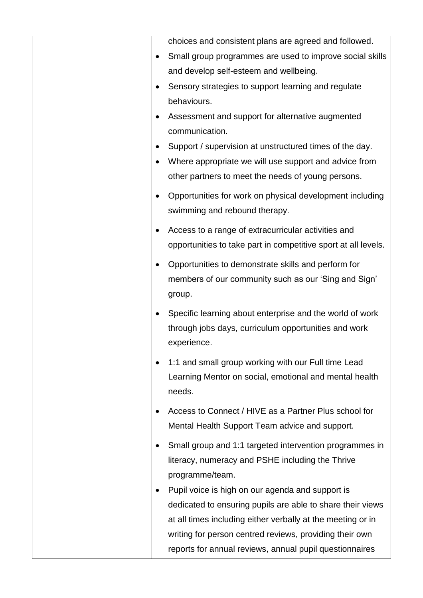|           | choices and consistent plans are agreed and followed.                                                            |
|-----------|------------------------------------------------------------------------------------------------------------------|
|           | Small group programmes are used to improve social skills                                                         |
|           | and develop self-esteem and wellbeing.                                                                           |
|           | Sensory strategies to support learning and regulate                                                              |
|           | behaviours.                                                                                                      |
|           | Assessment and support for alternative augmented                                                                 |
|           | communication.                                                                                                   |
|           | Support / supervision at unstructured times of the day.                                                          |
|           | Where appropriate we will use support and advice from                                                            |
|           | other partners to meet the needs of young persons.                                                               |
|           | Opportunities for work on physical development including                                                         |
|           | swimming and rebound therapy.                                                                                    |
|           | Access to a range of extracurricular activities and                                                              |
|           | opportunities to take part in competitive sport at all levels.                                                   |
| $\bullet$ | Opportunities to demonstrate skills and perform for                                                              |
|           | members of our community such as our 'Sing and Sign'                                                             |
|           | group.                                                                                                           |
|           |                                                                                                                  |
|           | Specific learning about enterprise and the world of work<br>through jobs days, curriculum opportunities and work |
|           | experience.                                                                                                      |
|           |                                                                                                                  |
|           | 1:1 and small group working with our Full time Lead                                                              |
|           | Learning Mentor on social, emotional and mental health                                                           |
|           | needs.                                                                                                           |
|           | Access to Connect / HIVE as a Partner Plus school for                                                            |
|           | Mental Health Support Team advice and support.                                                                   |
|           | Small group and 1:1 targeted intervention programmes in                                                          |
|           | literacy, numeracy and PSHE including the Thrive                                                                 |
|           | programme/team.                                                                                                  |
|           | Pupil voice is high on our agenda and support is                                                                 |
|           | dedicated to ensuring pupils are able to share their views                                                       |
|           | at all times including either verbally at the meeting or in                                                      |
|           | writing for person centred reviews, providing their own                                                          |
|           | reports for annual reviews, annual pupil questionnaires                                                          |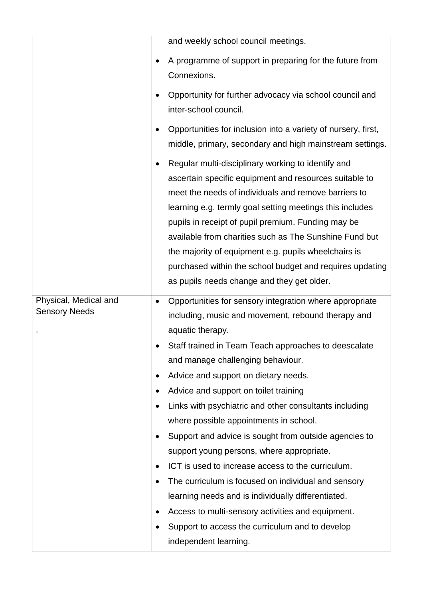|                                               | and weekly school council meetings.                                                                                                                                                                                                                                                                                                                                                                                                                                                                                                                                                                                                   |
|-----------------------------------------------|---------------------------------------------------------------------------------------------------------------------------------------------------------------------------------------------------------------------------------------------------------------------------------------------------------------------------------------------------------------------------------------------------------------------------------------------------------------------------------------------------------------------------------------------------------------------------------------------------------------------------------------|
|                                               | A programme of support in preparing for the future from<br>Connexions.                                                                                                                                                                                                                                                                                                                                                                                                                                                                                                                                                                |
|                                               | Opportunity for further advocacy via school council and<br>inter-school council.                                                                                                                                                                                                                                                                                                                                                                                                                                                                                                                                                      |
|                                               | Opportunities for inclusion into a variety of nursery, first,<br>middle, primary, secondary and high mainstream settings.                                                                                                                                                                                                                                                                                                                                                                                                                                                                                                             |
|                                               | Regular multi-disciplinary working to identify and<br>ascertain specific equipment and resources suitable to<br>meet the needs of individuals and remove barriers to<br>learning e.g. termly goal setting meetings this includes<br>pupils in receipt of pupil premium. Funding may be<br>available from charities such as The Sunshine Fund but<br>the majority of equipment e.g. pupils wheelchairs is<br>purchased within the school budget and requires updating<br>as pupils needs change and they get older.                                                                                                                    |
| Physical, Medical and<br><b>Sensory Needs</b> | Opportunities for sensory integration where appropriate<br>including, music and movement, rebound therapy and<br>aquatic therapy.<br>Staff trained in Team Teach approaches to deescalate<br>and manage challenging behaviour.<br>Advice and support on dietary needs.<br>Advice and support on toilet training<br>Links with psychiatric and other consultants including<br>where possible appointments in school.<br>Support and advice is sought from outside agencies to<br>support young persons, where appropriate.<br>ICT is used to increase access to the curriculum.<br>The curriculum is focused on individual and sensory |
|                                               | learning needs and is individually differentiated.<br>Access to multi-sensory activities and equipment.<br>Support to access the curriculum and to develop<br>independent learning.                                                                                                                                                                                                                                                                                                                                                                                                                                                   |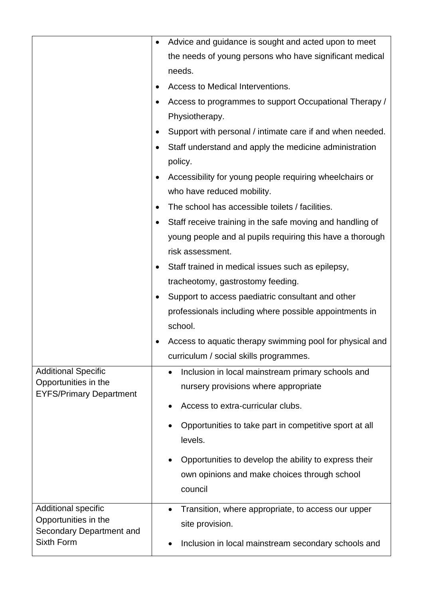|                                                        | Advice and guidance is sought and acted upon to meet               |
|--------------------------------------------------------|--------------------------------------------------------------------|
|                                                        | the needs of young persons who have significant medical            |
|                                                        | needs.                                                             |
|                                                        | Access to Medical Interventions.                                   |
|                                                        | Access to programmes to support Occupational Therapy /             |
|                                                        | Physiotherapy.                                                     |
|                                                        | Support with personal / intimate care if and when needed.          |
|                                                        | Staff understand and apply the medicine administration<br>policy.  |
|                                                        | Accessibility for young people requiring wheelchairs or            |
|                                                        | who have reduced mobility.                                         |
|                                                        | The school has accessible toilets / facilities.                    |
|                                                        | Staff receive training in the safe moving and handling of          |
|                                                        | young people and al pupils requiring this have a thorough          |
|                                                        | risk assessment.                                                   |
|                                                        | Staff trained in medical issues such as epilepsy,                  |
|                                                        | tracheotomy, gastrostomy feeding.                                  |
|                                                        | Support to access paediatric consultant and other<br>$\bullet$     |
|                                                        | professionals including where possible appointments in             |
|                                                        | school.                                                            |
|                                                        | Access to aquatic therapy swimming pool for physical and           |
|                                                        | curriculum / social skills programmes.                             |
| <b>Additional Specific</b>                             | Inclusion in local mainstream primary schools and<br>$\bullet$     |
| Opportunities in the<br><b>EYFS/Primary Department</b> | nursery provisions where appropriate                               |
|                                                        | Access to extra-curricular clubs.                                  |
|                                                        | Opportunities to take part in competitive sport at all<br>levels.  |
|                                                        | Opportunities to develop the ability to express their<br>$\bullet$ |
|                                                        | own opinions and make choices through school<br>council            |
| Additional specific                                    | Transition, where appropriate, to access our upper<br>$\bullet$    |
| Opportunities in the                                   | site provision.                                                    |
| Secondary Department and<br>Sixth Form                 | Inclusion in local mainstream secondary schools and<br>$\bullet$   |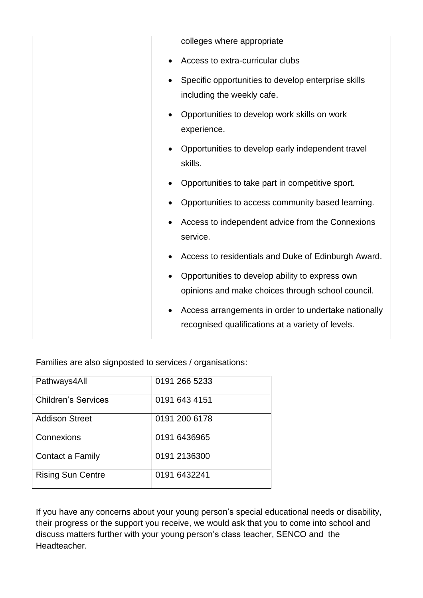| colleges where appropriate                                       |
|------------------------------------------------------------------|
| Access to extra-curricular clubs                                 |
| Specific opportunities to develop enterprise skills              |
| including the weekly cafe.                                       |
| Opportunities to develop work skills on work                     |
| experience.                                                      |
| Opportunities to develop early independent travel<br>$\bullet$   |
| skills.                                                          |
| Opportunities to take part in competitive sport.                 |
| Opportunities to access community based learning.                |
| Access to independent advice from the Connexions<br>٠            |
| service.                                                         |
| Access to residentials and Duke of Edinburgh Award.<br>$\bullet$ |
| Opportunities to develop ability to express own                  |
| opinions and make choices through school council.                |
| Access arrangements in order to undertake nationally             |
| recognised qualifications at a variety of levels.                |
|                                                                  |

Families are also signposted to services / organisations:

| Pathways4All               | 0191 266 5233 |
|----------------------------|---------------|
| <b>Children's Services</b> | 0191 643 4151 |
| <b>Addison Street</b>      | 0191 200 6178 |
| Connexions                 | 0191 6436965  |
| Contact a Family           | 0191 2136300  |
| <b>Rising Sun Centre</b>   | 0191 6432241  |

If you have any concerns about your young person's special educational needs or disability, their progress or the support you receive, we would ask that you to come into school and discuss matters further with your young person's class teacher, SENCO and the Headteacher.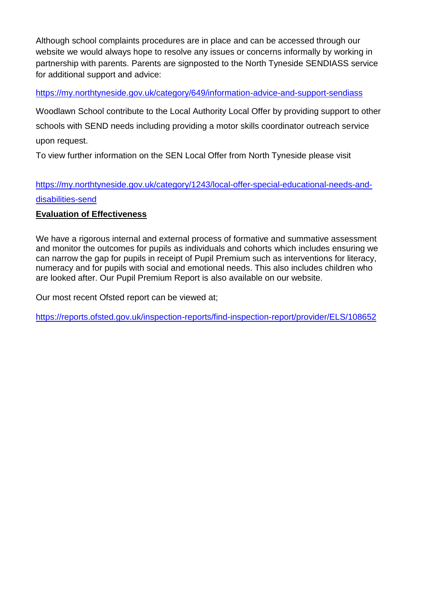Although school complaints procedures are in place and can be accessed through our website we would always hope to resolve any issues or concerns informally by working in partnership with parents. Parents are signposted to the North Tyneside SENDIASS service for additional support and advice:

<https://my.northtyneside.gov.uk/category/649/information-advice-and-support-sendiass>

Woodlawn School contribute to the Local Authority Local Offer by providing support to other schools with SEND needs including providing a motor skills coordinator outreach service upon request.

To view further information on the SEN Local Offer from North Tyneside please visit

## [https://my.northtyneside.gov.uk/category/1243/local-offer-special-educational-needs-and](https://my.northtyneside.gov.uk/category/1243/local-offer-special-educational-needs-and-disabilities-send)[disabilities-send](https://my.northtyneside.gov.uk/category/1243/local-offer-special-educational-needs-and-disabilities-send)

#### **Evaluation of Effectiveness**

We have a rigorous internal and external process of formative and summative assessment and monitor the outcomes for pupils as individuals and cohorts which includes ensuring we can narrow the gap for pupils in receipt of Pupil Premium such as interventions for literacy, numeracy and for pupils with social and emotional needs. This also includes children who are looked after. Our Pupil Premium Report is also available on our website.

Our most recent Ofsted report can be viewed at;

<https://reports.ofsted.gov.uk/inspection-reports/find-inspection-report/provider/ELS/108652>